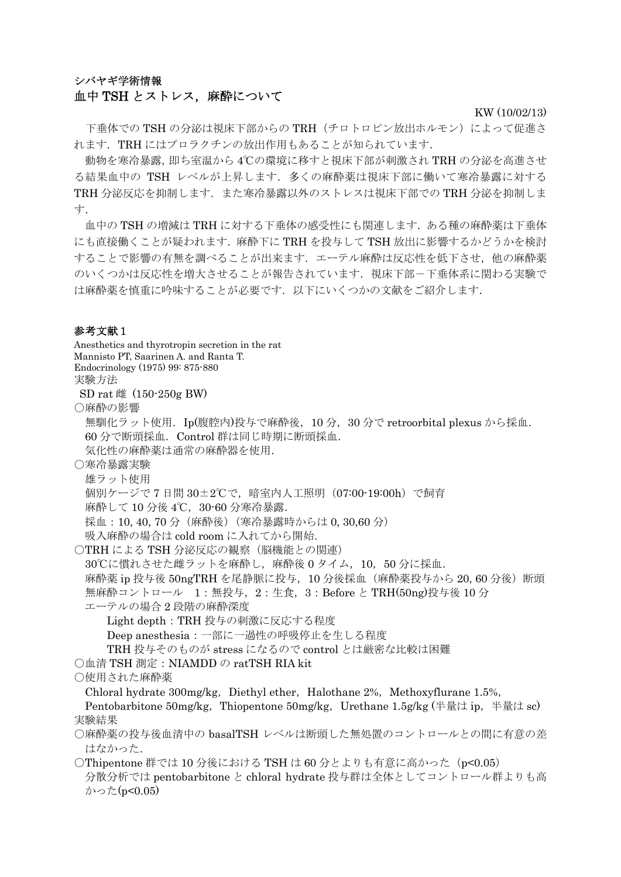# シバヤギ学術情報 血中 TSH とストレス, 麻酔について

KW (10/02/13)

下垂体での TSH の分泌は視床下部からの TRH(チロトロピン放出ホルモン)によって促進さ れます.TRH にはプロラクチンの放出作用もあることが知られています.

動物を寒冷暴露,即ち室温から 4℃の環境に移すと視床下部が刺激され TRH の分泌を高進させ る結果血中の TSH レベルが上昇します. 多くの麻酔薬は視床下部に働いて寒冷暴露に対する TRH 分泌反応を抑制します. また寒冷暴露以外のストレスは視床下部での TRH 分泌を抑制しま す.

血中の TSH の増減は TRH に対する下垂体の感受性にも関連します.ある種の麻酔薬は下垂体 にも直接働くことが疑われます. 麻酔下に TRH を投与して TSH 放出に影響するかどうかを検討 することで影響の有無を調べることが出来ます. エーテル麻酔は反応性を低下させ,他の麻酔薬 のいくつかは反応性を増大させることが報告されています。視床下部一下垂体系に関わる実験で は麻酔薬を慎重に吟味することが必要です.以下にいくつかの文献をご紹介します.

#### 参考文献1

Anesthetics and thyrotropin secretion in the rat Mannisto PT, Saarinen A. and Ranta T. Endocrinology (1975) 99: 875-880 実験方法 SD rat 雌 (150-250g BW) ○麻酔の影響 無馴化ラット使用. Ip(腹腔内)投与で麻酔後,10分,30分で retroorbital plexus から採血. 60 分で断頭採血.Control 群は同じ時期に断頭採血. 気化性の麻酔薬は通常の麻酔器を使用. ○寒冷暴露実験 雄ラット使用 個別ケージで 7 日間 30±2℃で,暗室内人工照明(07:00-19:00h)で飼育 麻酔して10分後4℃,30-60分寒冷暴露. 採血: 10, 40, 70 分 (麻酔後) (寒冷暴露時からは 0, 30,60 分) 吸入麻酔の場合は cold room に入れてから開始. ○TRH による TSH 分泌反応の観察(脳機能との関連) 30℃に慣れさせた雌ラットを麻酔し、麻酔後 0 タイム, 10, 50 分に採血. 麻酔薬 ip 投与後 50ngTRH を尾静脈に投与, 10 分後採血 (麻酔薬投与から 20, 60 分後)断頭 無麻酔コントロール 1:無投与,2:生食,3:Before と TRH(50ng)投与後 10 分 エーテルの場合 2 段階の麻酔深度 Light depth: TRH 投与の刺激に反応する程度 Deep anesthesia:一部に一過性の呼吸停止を生しる程度 TRH 投与そのものが stress になるので control とは厳密な比較は困難 ○血清 TSH 測定: NIAMDD の ratTSH RIA kit ○使用された麻酔薬 Chloral hydrate  $300$ mg/kg, Diethyl ether, Halothane  $2\%$ , Methoxyflurane 1.5%, Pentobarbitone 50mg/kg, Thiopentone 50mg/kg, Urethane 1.5g/kg (半量は ip, 半量は sc) 実験結果 ○麻酔薬の投与後血清中の basalTSH レベルは断頭した無処置のコントロールとの間に有意の差 はなかった. ○Thipentone 群では 10 分後における TSH は 60 分とよりも有意に高かった (p<0.05) 分散分析では pentobarbitone と chloral hydrate 投与群は全体としてコントロール群よりも高 かった(p<0.05)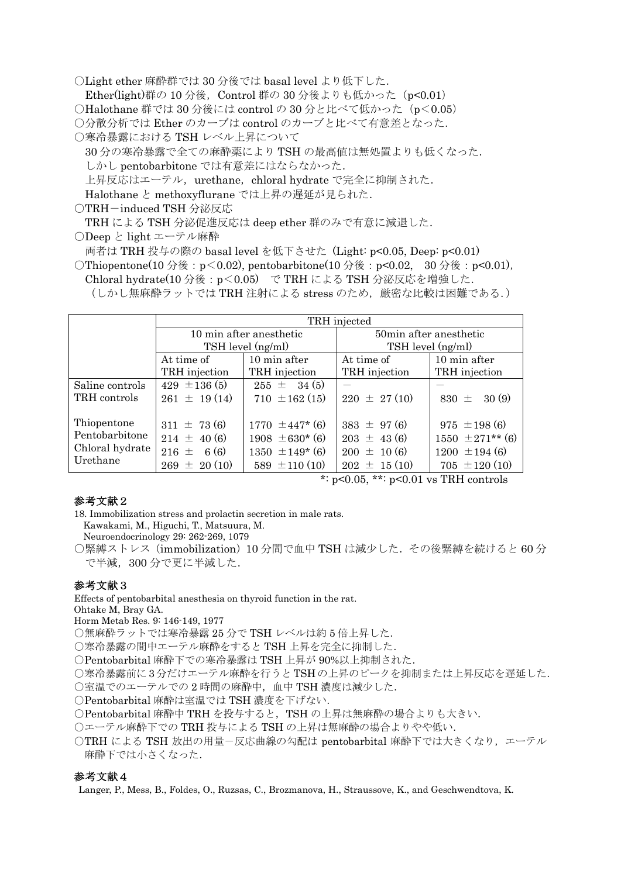○Light ether 麻酔群では 30 分後では basal level より低下した.

Ether(light)群の 10 分後, Control 群の 30 分後よりも低かった (p<0.01)

○Halothane 群では 30 分後には control の 30 分と比べて低かった (p<0.05)

○分散分析では Ether のカーブは control のカーブと比べて有意差となった.

○寒冷暴露における TSH レベル上昇について

30 分の寒冷暴露で全ての麻酔薬により TSH の最高値は無処置よりも低くなった. しかし pentobarbitone では有意差にはならなかった.

上昇反応はエーテル,urethane, chloral hydrate で完全に抑制された.

Halothane と methoxyflurane では上昇の遅延が見られた.

○TRH-induced TSH 分泌反応

TRH による TSH 分泌促進反応は deep ether 群のみで有意に減退した.

○Deep と light エーテル麻酔

両者は TRH 投与の際の basal level を低下させた (Light: p<0.05, Deep: p<0.01)

○Thiopentone(10 分後: p < 0.02), pentobarbitone(10 分後: p < 0.02, 30 分後: p < 0.01), Chloral hydrate(10 分後:p<0.05) で TRH による TSH 分泌反応を増強した. (しかし無麻酔ラットでは TRH 注射による stress のため、厳密な比較は困難である.)

|                                                              | TRH injected                                 |                                            |                                    |                                          |
|--------------------------------------------------------------|----------------------------------------------|--------------------------------------------|------------------------------------|------------------------------------------|
|                                                              | 10 min after anesthetic<br>TSH level (ng/ml) |                                            | 50 min after anesthetic            |                                          |
|                                                              |                                              |                                            | TSH level (ng/ml)                  |                                          |
|                                                              | At time of                                   | 10 min after                               | At time of                         | 10 min after                             |
|                                                              | TRH injection                                | TRH injection                              | TRH injection                      | TRH injection                            |
| Saline controls                                              | $429 \pm 136 \,(5)$                          | $255 \pm 34(5)$                            |                                    |                                          |
| TRH controls                                                 | $261 \pm 19(14)$                             | $710 \pm 162(15)$                          | $220 \pm 27(10)$                   | 30(9)<br>830 $\pm$                       |
| Thiopentone<br>Pentobarbitone<br>Chloral hydrate<br>Urethane | $311 \pm 73(6)$<br>$214 \pm 40(6)$           | $1770 \pm 447$ * (6)<br>$1908 \pm 630*(6)$ | $383 \pm 97(6)$<br>$203 \pm 43(6)$ | $975 \pm 198(6)$<br>$1550 \pm 271**$ (6) |
|                                                              | $216 \pm 6(6)$                               | $1350 \pm 149$ * (6)                       | $200 \pm 10(6)$                    | $1200 \pm 194$ (6)                       |
|                                                              | $269 \pm 20(10)$                             | 589 $\pm$ 110 (10)                         | $202 \pm 15(10)$                   | $705 \pm 120(10)$                        |

\*:  $p<0.05$ , \*\*:  $p<0.01$  vs TRH controls

### 参考文献2

18. Immobilization stress and prolactin secretion in male rats.

Kawakami, M., Higuchi, T., Matsuura, M.

Neuroendocrinology 29: 262-269, 1079

○緊縛ストレス(immobilization)10 分間で血中 TSH は減少した.その後緊縛を続けると 60 分 で半減,300 分で更に半減した.

## 参考文献3

Effects of pentobarbital anesthesia on thyroid function in the rat.

Ohtake M, Bray GA.

Horm Metab Res. 9: 146-149, 1977

○無麻酔ラットでは寒冷暴露 25 分で TSH レベルは約 5 倍上昇した.

○寒冷暴露の間中エーテル麻酔をすると TSH 上昇を完全に抑制した.

○Pentobarbital 麻酔下での寒冷暴露は TSH 上昇が 90%以上抑制された.

○寒冷暴露前に 3分だけエーテル麻酔を行うと TSHの上昇のピークを抑制または上昇反応を遅延した.

○室温でのエーテルでの 2 時間の麻酔中,血中 TSH 濃度は減少した.

○Pentobarbital 麻酔は室温では TSH 濃度を下げない.

○Pentobarbital 麻酔中 TRH を投与すると,TSH の上昇は無麻酔の場合よりも大きい.

○エーテル麻酔下での TRH 投与による TSH の上昇は無麻酔の場合よりやや低い.

○TRH による TSH 放出の用量-反応曲線の勾配は pentobarbital 麻酔下では大きくなり,エーテル 麻酔下では小さくなった.

### 参考文献4

Langer, P., Mess, B., Foldes, O., Ruzsas, C., Brozmanova, H., Straussove, K., and Geschwendtova, K.